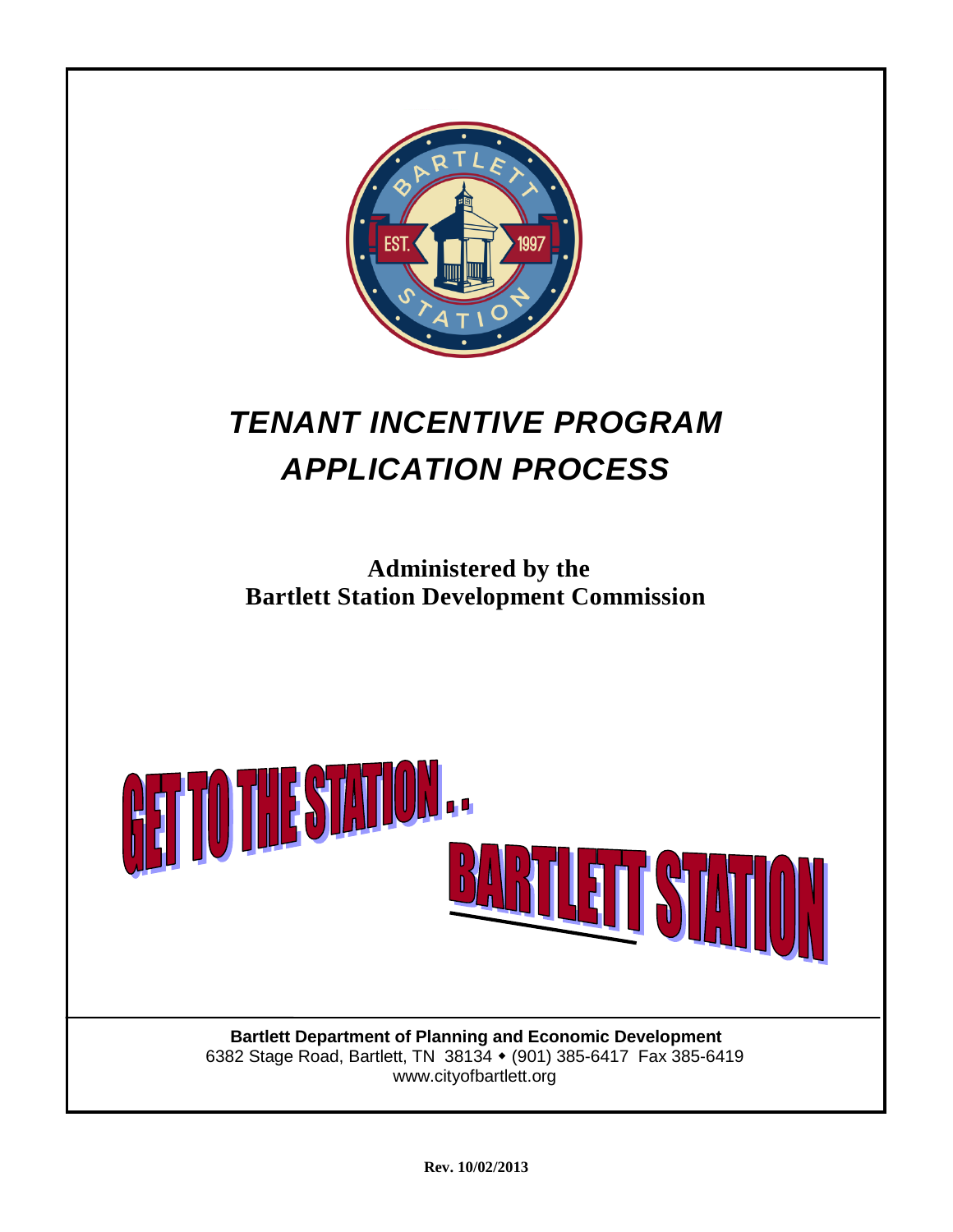

## *TENANT INCENTIVE PROGRAM APPLICATION PROCESS*

**Administered by the Bartlett Station Development Commission**



www.cityofbartlett.org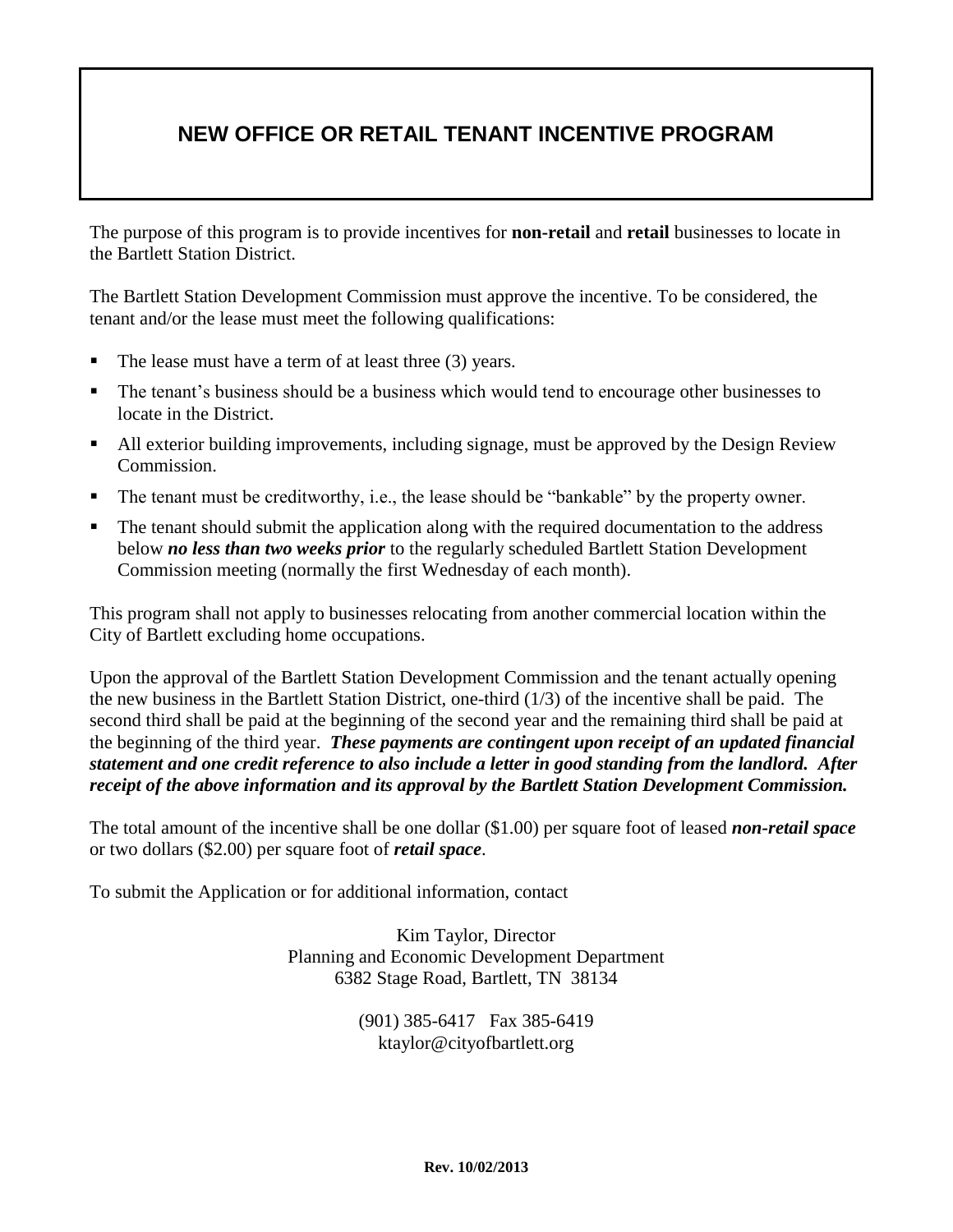## **NEW OFFICE OR RETAIL TENANT INCENTIVE PROGRAM**

The purpose of this program is to provide incentives for **non-retail** and **retail** businesses to locate in the Bartlett Station District.

The Bartlett Station Development Commission must approve the incentive. To be considered, the tenant and/or the lease must meet the following qualifications:

- The lease must have a term of at least three (3) years.
- The tenant's business should be a business which would tend to encourage other businesses to locate in the District.
- All exterior building improvements, including signage, must be approved by the Design Review Commission.
- The tenant must be creditworthy, i.e., the lease should be "bankable" by the property owner.
- The tenant should submit the application along with the required documentation to the address below *no less than two weeks prior* to the regularly scheduled Bartlett Station Development Commission meeting (normally the first Wednesday of each month).

This program shall not apply to businesses relocating from another commercial location within the City of Bartlett excluding home occupations.

Upon the approval of the Bartlett Station Development Commission and the tenant actually opening the new business in the Bartlett Station District, one-third (1/3) of the incentive shall be paid. The second third shall be paid at the beginning of the second year and the remaining third shall be paid at the beginning of the third year. *These payments are contingent upon receipt of an updated financial statement and one credit reference to also include a letter in good standing from the landlord.**After receipt of the above information and its approval by the Bartlett Station Development Commission.*

The total amount of the incentive shall be one dollar (\$1.00) per square foot of leased *non-retail space* or two dollars (\$2.00) per square foot of *retail space*.

To submit the Application or for additional information, contact

Kim Taylor, Director Planning and Economic Development Department 6382 Stage Road, Bartlett, TN 38134

> (901) 385-6417 Fax 385-6419 ktaylor@cityofbartlett.org